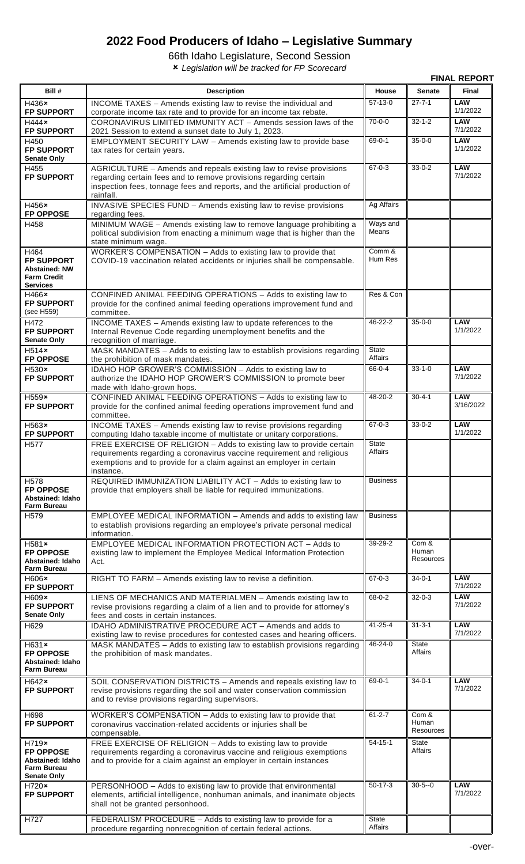## **2022 Food Producers of Idaho – Legislative Summary**

66th Idaho Legislature, Second Session

*Legislation will be tracked for FP Scorecard*

| <b>FINAL REPORT</b>                                                                        |                                                                                                                                                                                                                                     |                                |                                    |                         |  |
|--------------------------------------------------------------------------------------------|-------------------------------------------------------------------------------------------------------------------------------------------------------------------------------------------------------------------------------------|--------------------------------|------------------------------------|-------------------------|--|
| Bill #                                                                                     | <b>Description</b>                                                                                                                                                                                                                  | House                          | <b>Senate</b>                      | Final                   |  |
| H436×<br><b>FP SUPPORT</b>                                                                 | INCOME TAXES - Amends existing law to revise the individual and                                                                                                                                                                     | $57-13-0$                      | $27 - 7 - 1$                       | <b>LAW</b><br>1/1/2022  |  |
| H444x<br><b>FP SUPPORT</b>                                                                 | corporate income tax rate and to provide for an income tax rebate.<br>CORONAVIRUS LIMITED IMMUNITY ACT - Amends session laws of the<br>2021 Session to extend a sunset date to July 1, 2023.                                        | $70 - 0 - 0$                   | $32 - 1 - 2$                       | <b>LAW</b><br>7/1/2022  |  |
| H450<br><b>FP SUPPORT</b><br><b>Senate Only</b>                                            | EMPLOYMENT SECURITY LAW - Amends existing law to provide base<br>tax rates for certain years.                                                                                                                                       | $69 - 0 - 1$                   | $35 - 0 - 0$                       | <b>LAW</b><br>1/1/2022  |  |
| H455<br><b>FP SUPPORT</b>                                                                  | AGRICULTURE - Amends and repeals existing law to revise provisions<br>regarding certain fees and to remove provisions regarding certain<br>inspection fees, tonnage fees and reports, and the artificial production of<br>rainfall. | $67 - 0 - 3$                   | $33 - 0 - 2$                       | <b>LAW</b><br>7/1/2022  |  |
| H456×<br><b>FP OPPOSE</b>                                                                  | INVASIVE SPECIES FUND - Amends existing law to revise provisions<br>regarding fees.                                                                                                                                                 | <b>Ag Affairs</b>              |                                    |                         |  |
| H458                                                                                       | MINIMUM WAGE - Amends existing law to remove language prohibiting a<br>political subdivision from enacting a minimum wage that is higher than the<br>state minimum wage.                                                            | Ways and<br>Means              |                                    |                         |  |
| H464<br><b>FP SUPPORT</b><br><b>Abstained: NW</b><br><b>Farm Credit</b><br><b>Services</b> | WORKER'S COMPENSATION - Adds to existing law to provide that<br>COVID-19 vaccination related accidents or injuries shall be compensable.                                                                                            | Comm &<br>Hum Res              |                                    |                         |  |
| H466×<br><b>FP SUPPORT</b><br>(see H559)                                                   | CONFINED ANIMAL FEEDING OPERATIONS - Adds to existing law to<br>provide for the confined animal feeding operations improvement fund and<br>committee.                                                                               | Res & Con                      |                                    |                         |  |
| H472<br><b>FP SUPPORT</b><br><b>Senate Only</b>                                            | INCOME TAXES - Amends existing law to update references to the<br>Internal Revenue Code regarding unemployment benefits and the<br>recognition of marriage.                                                                         | 46-22-2                        | $35 - 0 - 0$                       | <b>LAW</b><br>1/1/2022  |  |
| H514x<br><b>FP OPPOSE</b>                                                                  | MASK MANDATES - Adds to existing law to establish provisions regarding<br>the prohibition of mask mandates.                                                                                                                         | <b>State</b><br>Affairs        |                                    |                         |  |
| $H530*$<br><b>FP SUPPORT</b>                                                               | IDAHO HOP GROWER'S COMMISSION - Adds to existing law to<br>authorize the IDAHO HOP GROWER'S COMMISSION to promote beer<br>made with Idaho-grown hops.                                                                               | 66-0-4                         | $33 - 1 - 0$                       | <b>LAW</b><br>7/1/2022  |  |
| $H559*$<br><b>FP SUPPORT</b>                                                               | CONFINED ANIMAL FEEDING OPERATIONS - Adds to existing law to<br>provide for the confined animal feeding operations improvement fund and<br>committee.                                                                               | $48 - 20 - 2$                  | $30 - 4 - 1$                       | <b>LAW</b><br>3/16/2022 |  |
| H563×<br><b>FP SUPPORT</b>                                                                 | INCOME TAXES - Amends existing law to revise provisions regarding<br>computing Idaho taxable income of multistate or unitary corporations.                                                                                          | $67 - 0 - 3$                   | $33 - 0 - 2$                       | <b>LAW</b><br>1/1/2022  |  |
| H <sub>577</sub>                                                                           | FREE EXERCISE OF RELIGION - Adds to existing law to provide certain<br>requirements regarding a coronavirus vaccine requirement and religious<br>exemptions and to provide for a claim against an employer in certain<br>instance.  | State<br>Affairs               |                                    |                         |  |
| H <sub>578</sub><br><b>FP OPPOSE</b><br>Abstained: Idaho<br><b>Farm Bureau</b>             | REQUIRED IMMUNIZATION LIABILITY ACT - Adds to existing law to<br>provide that employers shall be liable for required immunizations.                                                                                                 | <b>Business</b>                |                                    |                         |  |
| H <sub>579</sub>                                                                           | EMPLOYEE MEDICAL INFORMATION - Amends and adds to existing law<br>to establish provisions regarding an employee's private personal medical<br>information.                                                                          | <b>Business</b>                |                                    |                         |  |
| $H581*$<br><b>FP OPPOSE</b><br>Abstained: Idaho<br><b>Farm Bureau</b>                      | EMPLOYEE MEDICAL INFORMATION PROTECTION ACT - Adds to<br>existing law to implement the Employee Medical Information Protection<br>Act.                                                                                              | 39-29-2                        | Com &<br>Human<br><b>Resources</b> |                         |  |
| $H606*$<br><b>FP SUPPORT</b>                                                               | RIGHT TO FARM - Amends existing law to revise a definition.                                                                                                                                                                         | $67 - 0 - 3$                   | $34 - 0 - 1$                       | <b>LAW</b><br>7/1/2022  |  |
| $H609*$<br><b>FP SUPPORT</b><br><b>Senate Only</b>                                         | LIENS OF MECHANICS AND MATERIALMEN - Amends existing law to<br>revise provisions regarding a claim of a lien and to provide for attorney's<br>fees and costs in certain instances.                                                  | $68 - 0 - 2$                   | $32 - 0 - 3$                       | <b>LAW</b><br>7/1/2022  |  |
| H629                                                                                       | IDAHO ADMINISTRATIVE PROCEDURE ACT - Amends and adds to<br>existing law to revise procedures for contested cases and hearing officers.                                                                                              | $41 - 25 - 4$                  | $31 - 3 - 1$                       | <b>LAW</b><br>7/1/2022  |  |
| $H631*$<br><b>FP OPPOSE</b><br>Abstained: Idaho<br><b>Farm Bureau</b>                      | MASK MANDATES - Adds to existing law to establish provisions regarding<br>the prohibition of mask mandates.                                                                                                                         | $46 - 24 - 0$                  | State<br>Affairs                   |                         |  |
| H642×<br>FP SUPPORT                                                                        | SOIL CONSERVATION DISTRICTS - Amends and repeals existing law to<br>revise provisions regarding the soil and water conservation commission<br>and to revise provisions regarding supervisors.                                       | $69 - 0 - 1$                   | $34 - 0 - 1$                       | <b>LAW</b><br>7/1/2022  |  |
| H698<br><b>FP SUPPORT</b>                                                                  | WORKER'S COMPENSATION - Adds to existing law to provide that<br>coronavirus vaccination-related accidents or injuries shall be<br>compensable.                                                                                      | $61 - 2 - 7$                   | Com &<br>Human<br>Resources        |                         |  |
| H719x<br><b>FP OPPOSE</b><br>Abstained: Idaho<br><b>Farm Bureau</b><br><b>Senate Only</b>  | FREE EXERCISE OF RELIGION - Adds to existing law to provide<br>requirements regarding a coronavirus vaccine and religious exemptions<br>and to provide for a claim against an employer in certain instances                         | $54 - 15 - 1$                  | State<br>Affairs                   |                         |  |
| $H720*$<br><b>FP SUPPORT</b>                                                               | PERSONHOOD - Adds to existing law to provide that environmental<br>elements, artificial intelligence, nonhuman animals, and inanimate objects<br>shall not be granted personhood.                                                   | $50-17-3$                      | $30 - 5 - 0$                       | <b>LAW</b><br>7/1/2022  |  |
| H727                                                                                       | FEDERALISM PROCEDURE - Adds to existing law to provide for a<br>procedure regarding nonrecognition of certain federal actions.                                                                                                      | <b>State</b><br><b>Affairs</b> |                                    |                         |  |